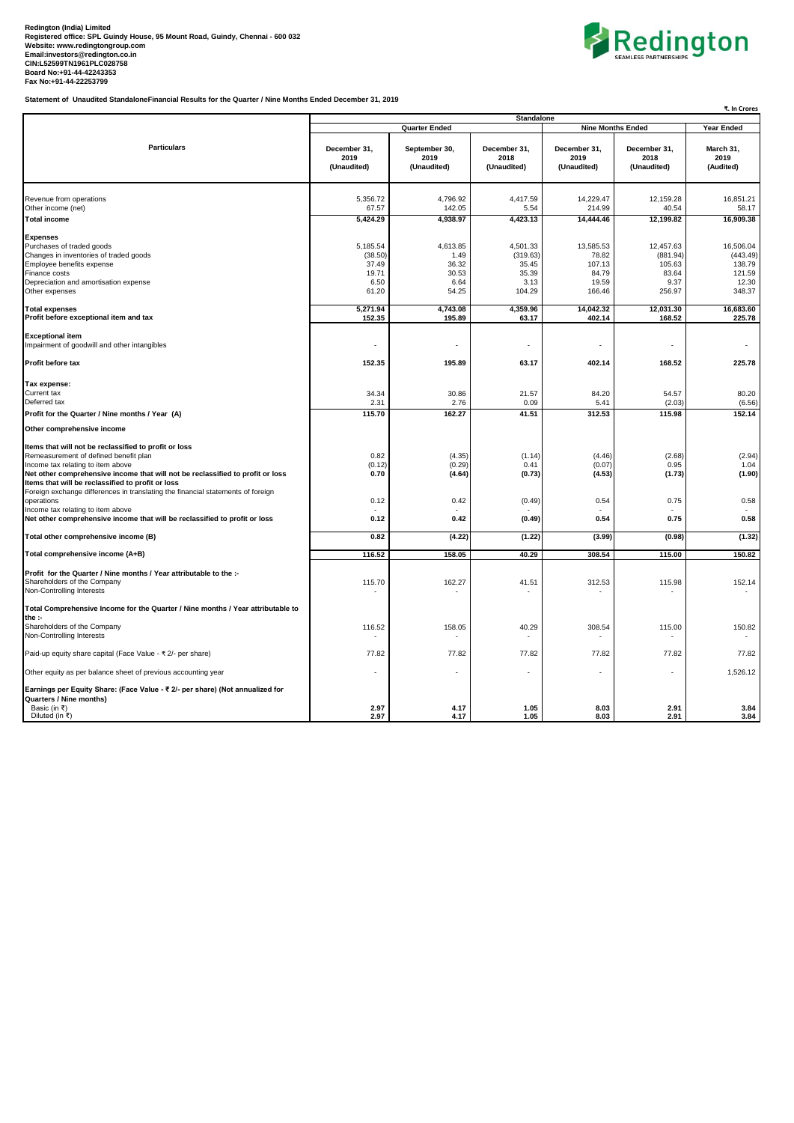

**Statement of Unaudited StandaloneFinancial Results for the Quarter / Nine Months Ended December 31, 2019**

|                                                                                                                                                                                                                                                                                                                                                                                                                  | ₹. In Crores                                           |                                                     |                                                          |                                                          |                                                            |                                                              |  |
|------------------------------------------------------------------------------------------------------------------------------------------------------------------------------------------------------------------------------------------------------------------------------------------------------------------------------------------------------------------------------------------------------------------|--------------------------------------------------------|-----------------------------------------------------|----------------------------------------------------------|----------------------------------------------------------|------------------------------------------------------------|--------------------------------------------------------------|--|
|                                                                                                                                                                                                                                                                                                                                                                                                                  |                                                        | <b>Quarter Ended</b>                                | <b>Standalone</b>                                        | <b>Nine Months Ended</b>                                 | Year Ended                                                 |                                                              |  |
| <b>Particulars</b>                                                                                                                                                                                                                                                                                                                                                                                               | December 31,<br>2019<br>(Unaudited)                    | September 30,<br>2019<br>(Unaudited)                | December 31,<br>2018<br>(Unaudited)                      | December 31,<br>2019<br>(Unaudited)                      | December 31,<br>2018<br>(Unaudited)                        | March 31,<br>2019<br>(Audited)                               |  |
| Revenue from operations<br>Other income (net)                                                                                                                                                                                                                                                                                                                                                                    | 5,356.72<br>67.57                                      | 4,796.92<br>142.05                                  | 4,417.59<br>5.54                                         | 14,229.47<br>214.99                                      | 12,159.28<br>40.54                                         | 16,851.21<br>58.17                                           |  |
| <b>Total income</b>                                                                                                                                                                                                                                                                                                                                                                                              | 5,424.29                                               | 4,938.97                                            | 4,423.13                                                 | 14,444.46                                                | 12,199.82                                                  | 16,909.38                                                    |  |
| <b>Expenses</b><br>Purchases of traded goods<br>Changes in inventories of traded goods<br>Employee benefits expense<br>Finance costs<br>Depreciation and amortisation expense<br>Other expenses                                                                                                                                                                                                                  | 5,185.54<br>(38.50)<br>37.49<br>19.71<br>6.50<br>61.20 | 4,613.85<br>1.49<br>36.32<br>30.53<br>6.64<br>54.25 | 4,501.33<br>(319.63)<br>35.45<br>35.39<br>3.13<br>104.29 | 13,585.53<br>78.82<br>107.13<br>84.79<br>19.59<br>166.46 | 12,457.63<br>(881.94)<br>105.63<br>83.64<br>9.37<br>256.97 | 16.506.04<br>(443.49)<br>138.79<br>121.59<br>12.30<br>348.37 |  |
| <b>Total expenses</b><br>Profit before exceptional item and tax                                                                                                                                                                                                                                                                                                                                                  | 5,271.94<br>152.35                                     | 4,743.08<br>195.89                                  | 4,359.96<br>63.17                                        | 14,042.32<br>402.14                                      | 12,031.30<br>168.52                                        | 16,683.60<br>225.78                                          |  |
| <b>Exceptional item</b><br>Impairment of goodwill and other intangibles                                                                                                                                                                                                                                                                                                                                          |                                                        | ä,                                                  | ×,                                                       |                                                          |                                                            |                                                              |  |
| Profit before tax                                                                                                                                                                                                                                                                                                                                                                                                | 152.35                                                 | 195.89                                              | 63.17                                                    | 402.14                                                   | 168.52                                                     | 225.78                                                       |  |
| Tax expense:<br>Current tax<br>Deferred tax                                                                                                                                                                                                                                                                                                                                                                      | 34.34<br>2.31                                          | 30.86<br>2.76                                       | 21.57<br>0.09                                            | 84.20<br>5.41                                            | 54.57<br>(2.03)                                            | 80.20<br>(6.56)                                              |  |
| Profit for the Quarter / Nine months / Year (A)                                                                                                                                                                                                                                                                                                                                                                  | 115.70                                                 | 162.27                                              | 41.51                                                    | 312.53                                                   | 115.98                                                     | 152.14                                                       |  |
| Other comprehensive income                                                                                                                                                                                                                                                                                                                                                                                       |                                                        |                                                     |                                                          |                                                          |                                                            |                                                              |  |
| Items that will not be reclassified to profit or loss<br>Remeasurement of defined benefit plan<br>Income tax relating to item above<br>Net other comprehensive income that will not be reclassified to profit or loss<br>Items that will be reclassified to profit or loss<br>Foreign exchange differences in translating the financial statements of foreign<br>operations<br>Income tax relating to item above | 0.82<br>(0.12)<br>0.70<br>0.12                         | (4.35)<br>(0.29)<br>(4.64)<br>0.42                  | (1.14)<br>0.41<br>(0.73)<br>(0.49)                       | (4.46)<br>(0.07)<br>(4.53)<br>0.54                       | (2.68)<br>0.95<br>(1.73)<br>0.75                           | (2.94)<br>1.04<br>(1.90)<br>0.58                             |  |
| Net other comprehensive income that will be reclassified to profit or loss                                                                                                                                                                                                                                                                                                                                       | 0.12                                                   | 0.42                                                | (0.49)                                                   | 0.54                                                     | 0.75                                                       | 0.58                                                         |  |
| Total other comprehensive income (B)                                                                                                                                                                                                                                                                                                                                                                             | 0.82                                                   | (4.22)                                              | (1.22)                                                   | (3.99)                                                   | (0.98)                                                     | (1.32)                                                       |  |
| Total comprehensive income (A+B)                                                                                                                                                                                                                                                                                                                                                                                 | 116.52                                                 | 158.05                                              | 40.29                                                    | 308.54                                                   | 115.00                                                     | 150.82                                                       |  |
| Profit for the Quarter / Nine months / Year attributable to the :-<br>Shareholders of the Company<br>Non-Controlling Interests                                                                                                                                                                                                                                                                                   | 115.70                                                 | 162.27                                              | 41.51                                                    | 312.53                                                   | 115.98                                                     | 152.14                                                       |  |
| Total Comprehensive Income for the Quarter / Nine months / Year attributable to<br>the :-                                                                                                                                                                                                                                                                                                                        |                                                        |                                                     |                                                          |                                                          |                                                            |                                                              |  |
| Shareholders of the Company<br>Non-Controlling Interests                                                                                                                                                                                                                                                                                                                                                         | 116.52                                                 | 158.05                                              | 40.29                                                    | 308.54                                                   | 115.00                                                     | 150.82                                                       |  |
| Paid-up equity share capital (Face Value - ₹ 2/- per share)                                                                                                                                                                                                                                                                                                                                                      | 77.82                                                  | 77.82                                               | 77.82                                                    | 77.82                                                    | 77.82                                                      | 77.82                                                        |  |
| Other equity as per balance sheet of previous accounting year                                                                                                                                                                                                                                                                                                                                                    |                                                        |                                                     |                                                          |                                                          |                                                            | 1,526.12                                                     |  |
| Earnings per Equity Share: (Face Value - ₹ 2/- per share) (Not annualized for<br>Quarters / Nine months)<br>Basic (in ₹)                                                                                                                                                                                                                                                                                         | 2.97                                                   | 4.17                                                | 1.05                                                     | 8.03                                                     | 2.91                                                       | 3.84                                                         |  |
| Diluted (in ₹)                                                                                                                                                                                                                                                                                                                                                                                                   | 2.97                                                   | 4.17                                                | 1.05                                                     | 8.03                                                     | 2.91                                                       | 3.84                                                         |  |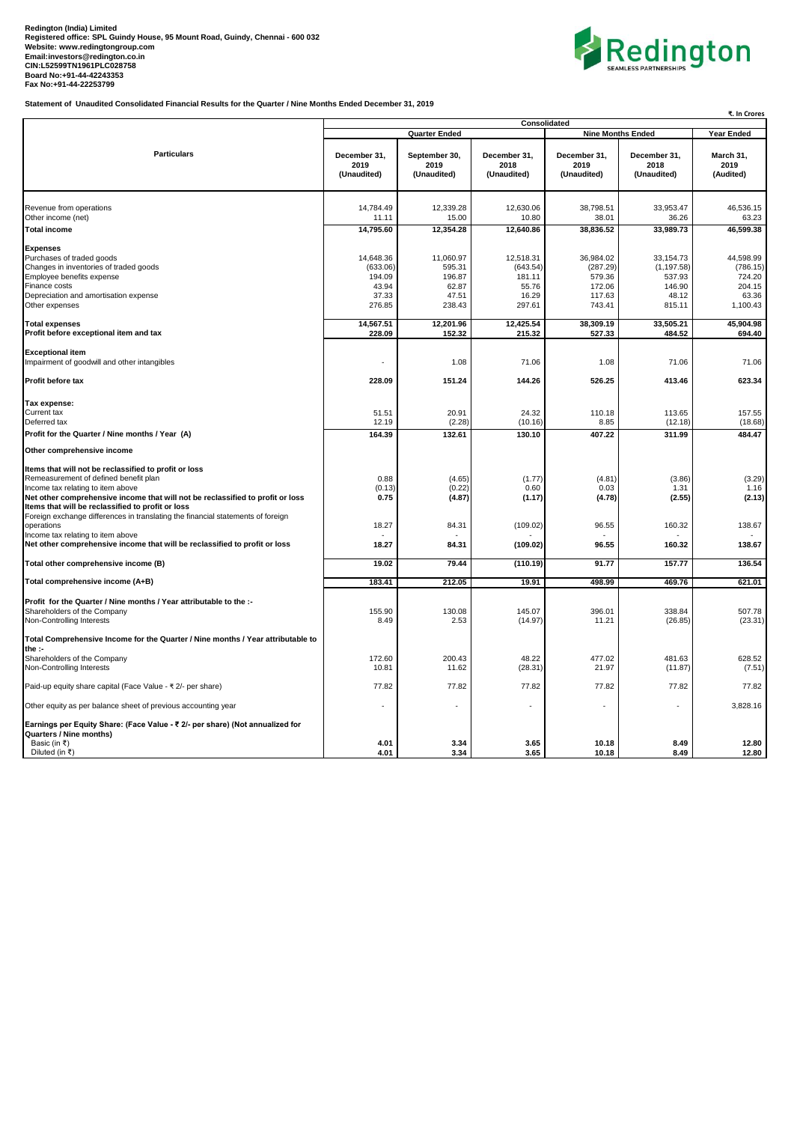## Redington (India) Limited<br>Registered office: SPL Guindy House, 95 Mount Road, Guindy, Chennai - 600 032<br>Website: www.redingtongroup.com<br>Email:investors@redington.co.in<br>CIN:L52599TN1961PLC028758<br>Bax No:+91-44-422253799<br>Fax



**Statement of Unaudited Consolidated Financial Results for the Quarter / Nine Months Ended December 31, 2019**

| ₹. In Crores                                                                                                                                                                                                                                                                                                                                                  |                                                                  |                                                           |                                                             |                                                               |                                                                 |                                                                |  |
|---------------------------------------------------------------------------------------------------------------------------------------------------------------------------------------------------------------------------------------------------------------------------------------------------------------------------------------------------------------|------------------------------------------------------------------|-----------------------------------------------------------|-------------------------------------------------------------|---------------------------------------------------------------|-----------------------------------------------------------------|----------------------------------------------------------------|--|
|                                                                                                                                                                                                                                                                                                                                                               | Consolidated<br><b>Quarter Ended</b><br><b>Nine Months Ended</b> |                                                           |                                                             |                                                               |                                                                 | Year Ended                                                     |  |
| <b>Particulars</b>                                                                                                                                                                                                                                                                                                                                            | December 31,<br>2019<br>(Unaudited)                              | September 30,<br>2019<br>(Unaudited)                      | December 31,<br>2018<br>(Unaudited)                         | December 31.<br>2019<br>(Unaudited)                           | December 31,<br>2018<br>(Unaudited)                             | March 31,<br>2019<br>(Audited)                                 |  |
| Revenue from operations                                                                                                                                                                                                                                                                                                                                       | 14,784.49                                                        | 12,339.28                                                 | 12,630.06                                                   | 38,798.51                                                     | 33,953.47                                                       | 46,536.15                                                      |  |
| Other income (net)<br><b>Total income</b>                                                                                                                                                                                                                                                                                                                     | 11.11<br>14,795.60                                               | 15.00<br>12,354.28                                        | 10.80<br>12,640.86                                          | 38.01<br>38,836.52                                            | 36.26<br>33,989.73                                              | 63.23<br>46.599.38                                             |  |
| <b>Expenses</b><br>Purchases of traded goods<br>Changes in inventories of traded goods<br>Employee benefits expense<br>Finance costs<br>Depreciation and amortisation expense<br>Other expenses                                                                                                                                                               | 14,648.36<br>(633.06)<br>194.09<br>43.94<br>37.33<br>276.85      | 11,060.97<br>595.31<br>196.87<br>62.87<br>47.51<br>238.43 | 12,518.31<br>(643.54)<br>181.11<br>55.76<br>16.29<br>297.61 | 36,984.02<br>(287.29)<br>579.36<br>172.06<br>117.63<br>743.41 | 33,154.73<br>(1, 197.58)<br>537.93<br>146.90<br>48.12<br>815.11 | 44,598.99<br>(786.15)<br>724.20<br>204.15<br>63.36<br>1,100.43 |  |
| <b>Total expenses</b><br>Profit before exceptional item and tax                                                                                                                                                                                                                                                                                               | 14,567.51<br>228.09                                              | 12,201.96<br>152.32                                       | 12,425.54<br>215.32                                         | 38,309.19<br>527.33                                           | 33,505.21<br>484.52                                             | 45,904.98<br>694.40                                            |  |
| <b>Exceptional item</b><br>Impairment of goodwill and other intangibles                                                                                                                                                                                                                                                                                       | ÷,                                                               | 1.08                                                      | 71.06                                                       | 1.08                                                          | 71.06                                                           | 71.06                                                          |  |
| Profit before tax                                                                                                                                                                                                                                                                                                                                             | 228.09                                                           | 151.24                                                    | 144.26                                                      | 526.25                                                        | 413.46                                                          | 623.34                                                         |  |
| Tax expense:<br>Current tax<br>Deferred tax                                                                                                                                                                                                                                                                                                                   | 51.51<br>12.19                                                   | 20.91<br>(2.28)                                           | 24.32<br>(10.16)                                            | 110.18<br>8.85                                                | 113.65<br>(12.18)                                               | 157.55<br>(18.68)                                              |  |
| Profit for the Quarter / Nine months / Year (A)                                                                                                                                                                                                                                                                                                               | 164.39                                                           | 132.61                                                    | 130.10                                                      | 407.22                                                        | 311.99                                                          | 484.47                                                         |  |
| Other comprehensive income                                                                                                                                                                                                                                                                                                                                    |                                                                  |                                                           |                                                             |                                                               |                                                                 |                                                                |  |
| Items that will not be reclassified to profit or loss<br>Remeasurement of defined benefit plan<br>Income tax relating to item above<br>Net other comprehensive income that will not be reclassified to profit or loss<br>Items that will be reclassified to profit or loss<br>Foreign exchange differences in translating the financial statements of foreign | 0.88<br>(0.13)<br>0.75                                           | (4.65)<br>(0.22)<br>(4.87)                                | (1.77)<br>0.60<br>(1.17)                                    | (4.81)<br>0.03<br>(4.78)                                      | (3.86)<br>1.31<br>(2.55)                                        | (3.29)<br>1.16<br>(2.13)                                       |  |
| operations<br>Income tax relating to item above                                                                                                                                                                                                                                                                                                               | 18.27                                                            | 84.31                                                     | (109.02)                                                    | 96.55                                                         | 160.32                                                          | 138.67                                                         |  |
| Net other comprehensive income that will be reclassified to profit or loss                                                                                                                                                                                                                                                                                    | 18.27                                                            | 84.31                                                     | (109.02)                                                    | 96.55                                                         | 160.32                                                          | 138.67                                                         |  |
| Total other comprehensive income (B)                                                                                                                                                                                                                                                                                                                          | 19.02                                                            | 79.44                                                     | (110.19)                                                    | 91.77                                                         | 157.77                                                          | 136.54                                                         |  |
| Total comprehensive income (A+B)                                                                                                                                                                                                                                                                                                                              | 183.41                                                           | 212.05                                                    | 19.91                                                       | 498.99                                                        | 469.76                                                          | 621.01                                                         |  |
| Profit for the Quarter / Nine months / Year attributable to the :-<br>Shareholders of the Company<br>Non-Controlling Interests                                                                                                                                                                                                                                | 155.90<br>8.49                                                   | 130.08<br>2.53                                            | 145.07<br>(14.97)                                           | 396.01<br>11.21                                               | 338.84<br>(26.85)                                               | 507.78<br>(23.31)                                              |  |
| Total Comprehensive Income for the Quarter / Nine months / Year attributable to<br>the :-                                                                                                                                                                                                                                                                     |                                                                  |                                                           |                                                             |                                                               |                                                                 |                                                                |  |
| Shareholders of the Company<br>Non-Controlling Interests                                                                                                                                                                                                                                                                                                      | 172.60<br>10.81                                                  | 200.43<br>11.62                                           | 48.22<br>(28.31)                                            | 477.02<br>21.97                                               | 481.63<br>(11.87)                                               | 628.52<br>(7.51)                                               |  |
| Paid-up equity share capital (Face Value - ₹2/- per share)                                                                                                                                                                                                                                                                                                    | 77.82                                                            | 77.82                                                     | 77.82                                                       | 77.82                                                         | 77.82                                                           | 77.82                                                          |  |
| Other equity as per balance sheet of previous accounting year                                                                                                                                                                                                                                                                                                 |                                                                  |                                                           |                                                             |                                                               |                                                                 | 3,828.16                                                       |  |
| Earnings per Equity Share: (Face Value - ₹ 2/- per share) (Not annualized for<br>Quarters / Nine months)<br>Basic (in ₹)                                                                                                                                                                                                                                      | 4.01                                                             | 3.34                                                      | 3.65                                                        | 10.18                                                         | 8.49                                                            | 12.80                                                          |  |
| Diluted (in ₹)                                                                                                                                                                                                                                                                                                                                                | 4.01                                                             | 3.34                                                      | 3.65                                                        | 10.18                                                         | 8.49                                                            | 12.80                                                          |  |